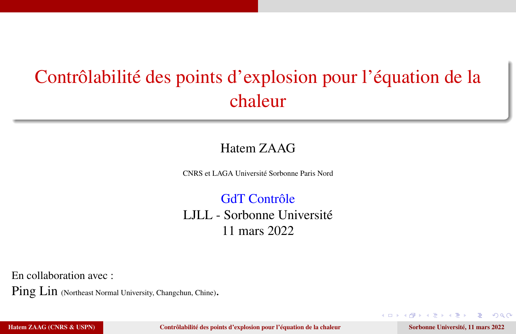# <span id="page-0-0"></span>Contrôlabilité des points d'explosion pour l'équation de la chaleur

#### Hatem ZAAG

CNRS et LAGA Université Sorbonne Paris Nord

GdT Contrôle LJLL - Sorbonne Université 11 mars 2022

En collaboration avec :

Ping Lin (Northeast Normal University, Changchun, Chine).

Hatem ZAAG (CNRS & USPN) [Contrôlabilité des points d'explosion pour l'équation de la chaleur](#page-55-0) Sorbonne Université, 11 mars 2022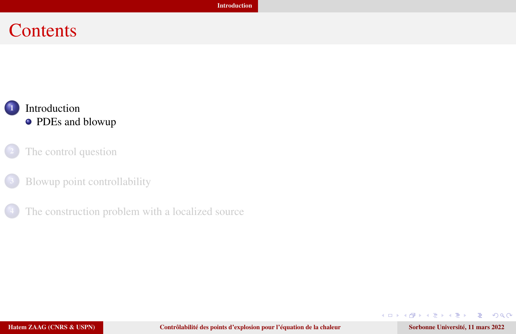#### <span id="page-1-0"></span>**Contents**

#### **[Introduction](#page-1-0)** • [PDEs and blowup](#page-2-0)

- [The control question](#page-5-0)
- [Blowup point controllability](#page-21-0)
- [The construction problem with a localized source](#page-36-0)

 $\rightarrow$  $\mathbf{F}=\mathbf{C}$ 

4. 0. 3.

∢ @

 $QQ$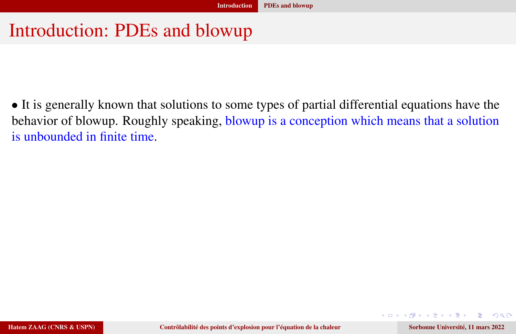#### <span id="page-2-0"></span>Introduction: PDEs and blowup

• It is generally known that solutions to some types of partial differential equations have the behavior of blowup. Roughly speaking, blowup is a conception which means that a solution is unbounded in finite time.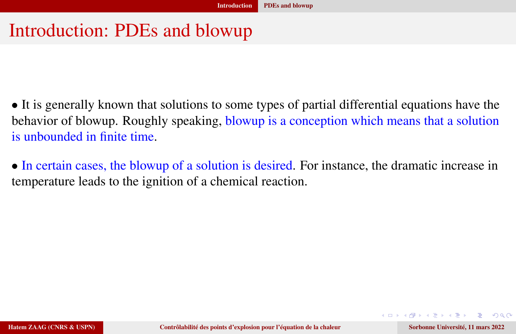#### Introduction: PDEs and blowup

• It is generally known that solutions to some types of partial differential equations have the behavior of blowup. Roughly speaking, blowup is a conception which means that a solution is unbounded in finite time.

• In certain cases, the blowup of a solution is desired. For instance, the dramatic increase in temperature leads to the ignition of a chemical reaction.

 $QQ$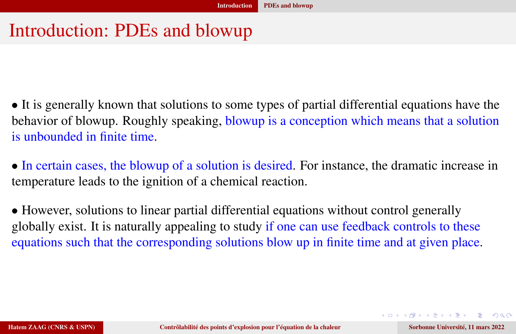## Introduction: PDEs and blowup

• It is generally known that solutions to some types of partial differential equations have the behavior of blowup. Roughly speaking, blowup is a conception which means that a solution is unbounded in finite time.

• In certain cases, the blowup of a solution is desired. For instance, the dramatic increase in temperature leads to the ignition of a chemical reaction.

• However, solutions to linear partial differential equations without control generally globally exist. It is naturally appealing to study if one can use feedback controls to these equations such that the corresponding solutions blow up in finite time and at given place.

DER HER E MAC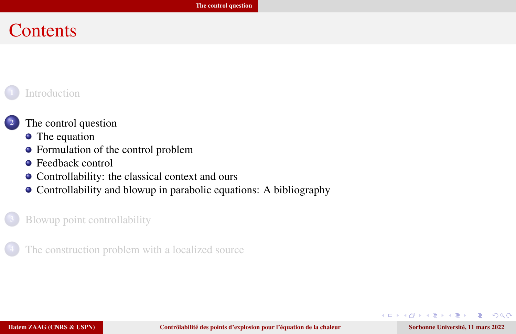#### <span id="page-5-0"></span>**Contents**

#### **[Introduction](#page-1-0)**

#### <sup>2</sup> [The control question](#page-5-0)

- [The equation](#page-6-0)
- [Formulation of the control problem](#page-7-0)
- **•** [Feedback control](#page-8-0)
- [Controllability: the classical context and ours](#page-10-0)
- [Controllability and blowup in parabolic equations: A bibliography](#page-12-0)

#### [Blowup point controllability](#page-21-0)

[The construction problem with a localized source](#page-36-0)

 $200$ 

 $\mathbf{E} = \mathbf{E}$ 

 $\Box$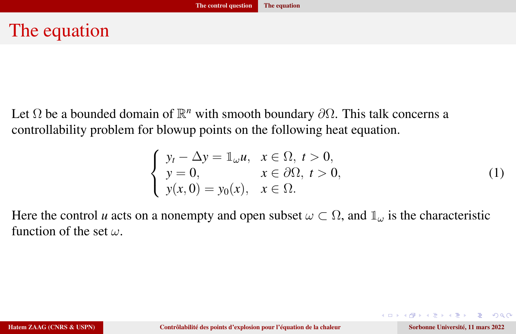# <span id="page-6-0"></span>The equation

Let  $\Omega$  be a bounded domain of  $\mathbb{R}^n$  with smooth boundary  $\partial\Omega$ . This talk concerns a controllability problem for blowup points on the following heat equation.

<span id="page-6-1"></span>
$$
\begin{cases}\ny_t - \Delta y = \mathbb{1}_{\omega} u, & x \in \Omega, \ t > 0, \\
y = 0, & x \in \partial\Omega, \ t > 0, \\
y(x, 0) = y_0(x), & x \in \Omega.\n\end{cases}
$$
\n(1)

Here the control *u* acts on a nonempty and open subset  $\omega \subset \Omega$ , and  $\mathbb{1}_{\omega}$  is the characteristic function of the set  $\omega$ .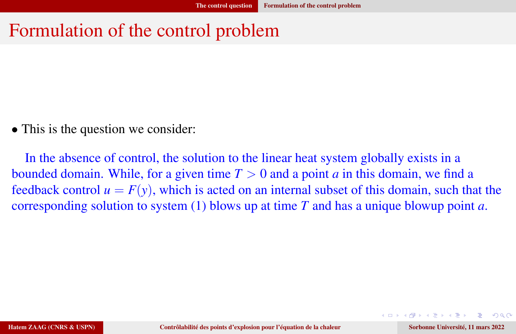## <span id="page-7-0"></span>Formulation of the control problem

• This is the question we consider:

In the absence of control, the solution to the linear heat system globally exists in a bounded domain. While, for a given time  $T > 0$  and a point *a* in this domain, we find a feedback control  $u = F(y)$ , which is acted on an internal subset of this domain, such that the corresponding solution to system [\(1\)](#page-6-1) blows up at time *T* and has a unique blowup point *a*.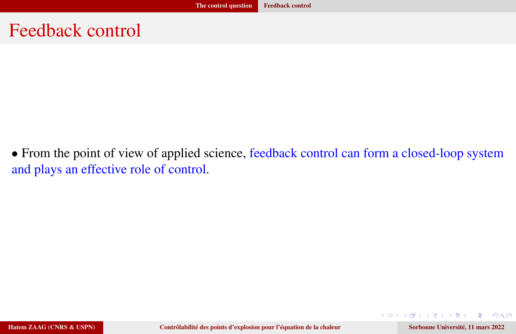#### <span id="page-8-0"></span>Feedback control

• From the point of view of applied science, feedback control can form a closed-loop system and plays an effective role of control.

 $\mathbf{v}$  and  $\mathbf{v}$ 

4 D F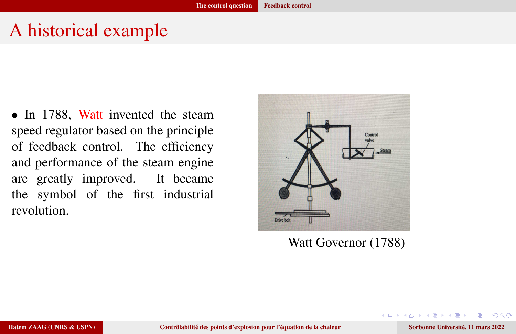## A historical example

• In 1788, Watt invented the steam speed regulator based on the principle of feedback control. The efficiency and performance of the steam engine are greatly improved. It became the symbol of the first industrial revolution.



Watt Governor (1788)

 $200$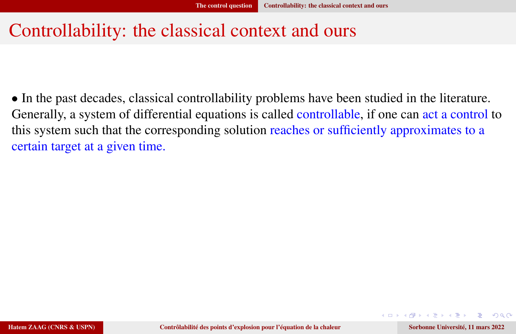## <span id="page-10-0"></span>Controllability: the classical context and ours

• In the past decades, classical controllability problems have been studied in the literature. Generally, a system of differential equations is called controllable, if one can act a control to this system such that the corresponding solution reaches or sufficiently approximates to a certain target at a given time.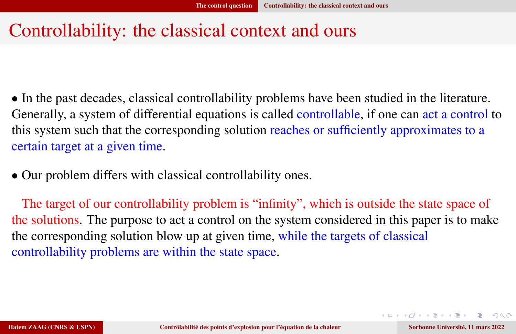## Controllability: the classical context and ours

• In the past decades, classical controllability problems have been studied in the literature. Generally, a system of differential equations is called controllable, if one can act a control to this system such that the corresponding solution reaches or sufficiently approximates to a certain target at a given time.

• Our problem differs with classical controllability ones.

The target of our controllability problem is "infinity", which is outside the state space of the solutions. The purpose to act a control on the system considered in this paper is to make the corresponding solution blow up at given time, while the targets of classical controllability problems are within the state space.

KO KARA KE KAEK E KAQO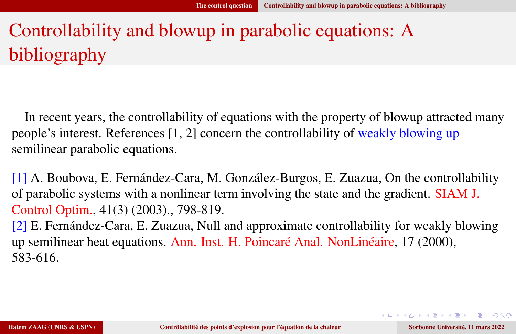# <span id="page-12-0"></span>Controllability and blowup in parabolic equations: A bibliography

In recent years, the controllability of equations with the property of blowup attracted many people's interest. References [1, 2] concern the controllability of weakly blowing up semilinear parabolic equations.

[1] A. Boubova, E. Fernández-Cara, M. González-Burgos, E. Zuazua, On the controllability of parabolic systems with a nonlinear term involving the state and the gradient. SIAM J. Control Optim., 41(3) (2003)., 798-819.

[2] E. Fernández-Cara, E. Zuazua, Null and approximate controllability for weakly blowing up semilinear heat equations. Ann. Inst. H. Poincaré Anal. NonLinéaire, 17 (2000), 583-616.

KO KARA KE KAEK E KAQO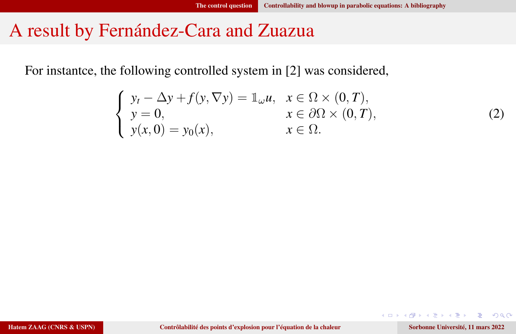#### A result by Fernández-Cara and Zuazua

For instantce, the following controlled system in [2] was considered,

<span id="page-13-0"></span>
$$
\begin{cases}\ny_t - \Delta y + f(y, \nabla y) = \mathbb{1}_{\omega} u, & x \in \Omega \times (0, T), \\
y = 0, & x \in \partial \Omega \times (0, T), \\
y(x, 0) = y_0(x), & x \in \Omega.\n\end{cases}
$$

-4 B

4 0 8

(2)

 $200$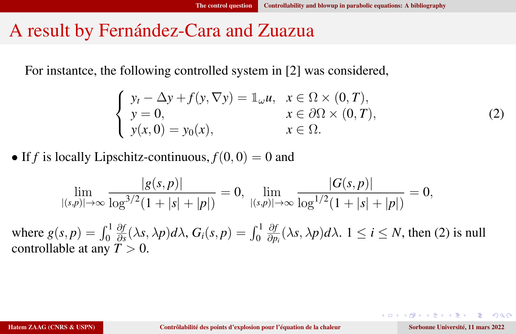#### A result by Fernández-Cara and Zuazua

For instantce, the following controlled system in [2] was considered,

$$
\begin{cases}\ny_t - \Delta y + f(y, \nabla y) = \mathbb{1}_{\omega} u, & x \in \Omega \times (0, T), \\
y = 0, & x \in \partial\Omega \times (0, T), \\
y(x, 0) = y_0(x), & x \in \Omega.\n\end{cases}
$$
\n(2)

• If *f* is locally Lipschitz-continuous,  $f(0, 0) = 0$  and

$$
\lim_{|(s,p)|\to\infty}\frac{|g(s,p)|}{\log^{3/2}(1+|s|+|p|)}=0,\ \lim_{|(s,p)|\to\infty}\frac{|G(s,p)|}{\log^{1/2}(1+|s|+|p|)}=0,
$$

where  $g(s, p) = \int_0^1$ ∂*f*  $\frac{\partial f}{\partial s}(\lambda s, \lambda p)d\lambda$ ,  $G_i(s, p) = \int_0^1$ ∂*f*  $\frac{\partial f}{\partial p_i}(\lambda s, \lambda p)d\lambda$ .  $1 \leq i \leq N$ , then [\(2\)](#page-13-0) is null controllable at any  $T > 0$ .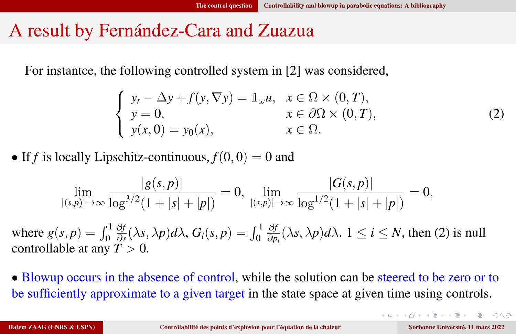#### A result by Fernández-Cara and Zuazua

For instantce, the following controlled system in [2] was considered,

$$
\begin{cases}\ny_t - \Delta y + f(y, \nabla y) = \mathbb{1}_{\omega} u, & x \in \Omega \times (0, T), \\
y = 0, & x \in \partial\Omega \times (0, T), \\
y(x, 0) = y_0(x), & x \in \Omega.\n\end{cases}
$$
\n(2)

• If *f* is locally Lipschitz-continuous,  $f(0, 0) = 0$  and

$$
\lim_{|(s,p)|\to\infty}\frac{|g(s,p)|}{\log^{3/2}(1+|s|+|p|)}=0,\ \lim_{|(s,p)|\to\infty}\frac{|G(s,p)|}{\log^{1/2}(1+|s|+|p|)}=0,
$$

where  $g(s, p) = \int_0^1$ ∂*f*  $\frac{\partial f}{\partial s}(\lambda s, \lambda p)d\lambda$ ,  $G_i(s, p) = \int_0^1$ ∂*f*  $\frac{\partial f}{\partial p_i}(\lambda s, \lambda p)d\lambda$ .  $1 \leq i \leq N$ , then [\(2\)](#page-13-0) is null controllable at any  $T > 0$ .

• Blowup occurs in the absence of control, while the solution can be steered to be zero or to be sufficiently approximate to a given target in the state space at given time using controls.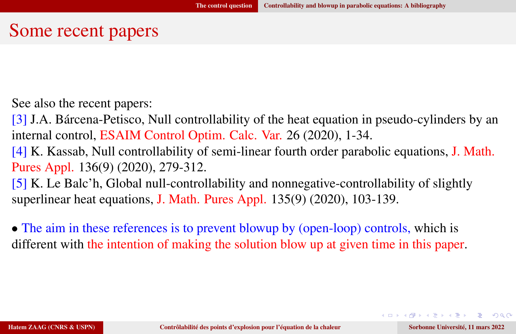#### Some recent papers

See also the recent papers:

[3] J.A. Bárcena-Petisco, Null controllability of the heat equation in pseudo-cylinders by an internal control, ESAIM Control Optim. Calc. Var. 26 (2020), 1-34.

[4] K. Kassab, Null controllability of semi-linear fourth order parabolic equations, J. Math. Pures Appl. 136(9) (2020), 279-312.

[5] K. Le Balc'h, Global null-controllability and nonnegative-controllability of slightly superlinear heat equations, J. Math. Pures Appl. 135(9) (2020), 103-139.

• The aim in these references is to prevent blowup by (open-loop) controls, which is different with the intention of making the solution blow up at given time in this paper.

KID KAP KIB KIB KIB KORA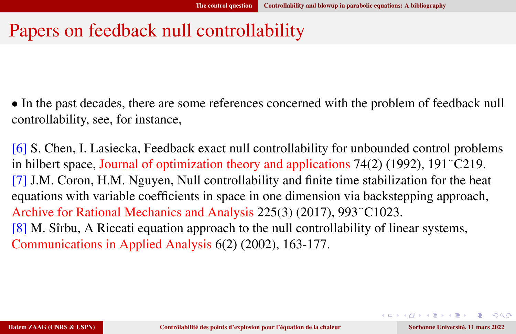## Papers on feedback null controllability

• In the past decades, there are some references concerned with the problem of feedback null controllability, see, for instance,

[6] S. Chen, I. Lasiecka, Feedback exact null controllability for unbounded control problems in hilbert space, Journal of optimization theory and applications 74(2) (1992), 191¨C219. [7] J.M. Coron, H.M. Nguyen, Null controllability and finite time stabilization for the heat equations with variable coefficients in space in one dimension via backstepping approach, Archive for Rational Mechanics and Analysis 225(3) (2017), 993¨C1023. [8] M. Sîrbu, A Riccati equation approach to the null controllability of linear systems, Communications in Applied Analysis 6(2) (2002), 163-177.

KID KAP KIB KIB KIB KORA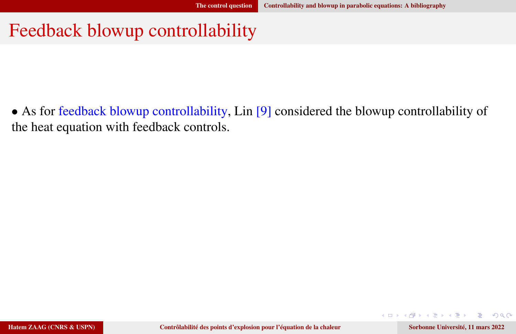#### Feedback blowup controllability

• As for feedback blowup controllability, Lin [9] considered the blowup controllability of the heat equation with feedback controls.

**Service** 

4 D F

 $200$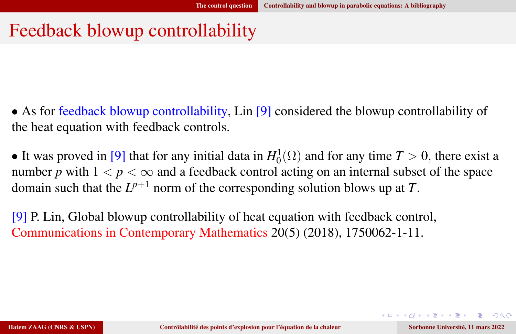## Feedback blowup controllability

- As for feedback blowup controllability, Lin [9] considered the blowup controllability of the heat equation with feedback controls.
- It was proved in [9] that for any initial data in  $H_0^1(\Omega)$  and for any time  $T > 0$ , there exist a number *p* with  $1 < p < \infty$  and a feedback control acting on an internal subset of the space domain such that the  $L^{p+1}$  norm of the corresponding solution blows up at *T*.
- [9] P. Lin, Global blowup controllability of heat equation with feedback control, Communications in Contemporary Mathematics 20(5) (2018), 1750062-1-11.

 $\equiv$   $\Omega$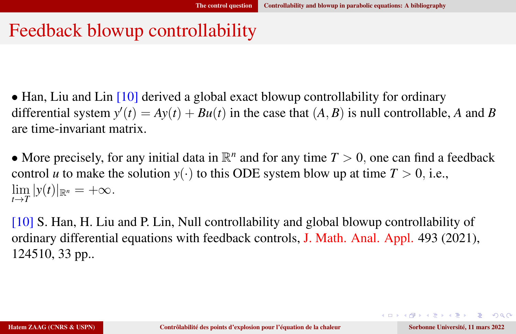### Feedback blowup controllability

• Han, Liu and Lin [10] derived a global exact blowup controllability for ordinary differential system  $y'(t) = Ay(t) + Bu(t)$  in the case that  $(A, B)$  is null controllable, *A* and *B* are time-invariant matrix.

• More precisely, for any initial data in  $\mathbb{R}^n$  and for any time  $T > 0$ , one can find a feedback control *u* to make the solution  $y(\cdot)$  to this ODE system blow up at time  $T > 0$ , i.e.,  $\lim_{t\to T} |y(t)|_{\mathbb{R}^n} = +\infty.$ 

[10] S. Han, H. Liu and P. Lin, Null controllability and global blowup controllability of ordinary differential equations with feedback controls, J. Math. Anal. Appl. 493 (2021), 124510, 33 pp..

KO KARA KE KAEK E KAQO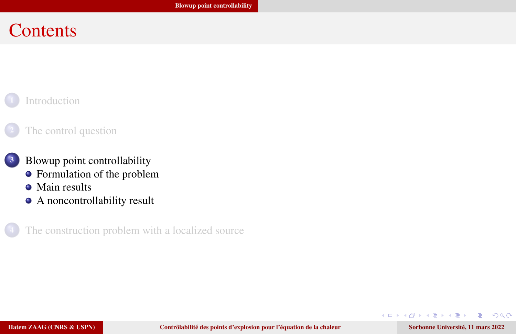#### <span id="page-21-0"></span>**Contents**

#### **[Introduction](#page-1-0)**

#### [The control question](#page-5-0)

#### <sup>3</sup> [Blowup point controllability](#page-21-0)

- [Formulation of the problem](#page-22-0)
- [Main results](#page-23-0)
- [A noncontrollability result](#page-34-0)

[The construction problem with a localized source](#page-36-0)

 $200$ 

∍

化重新润滑

4. 0. 3.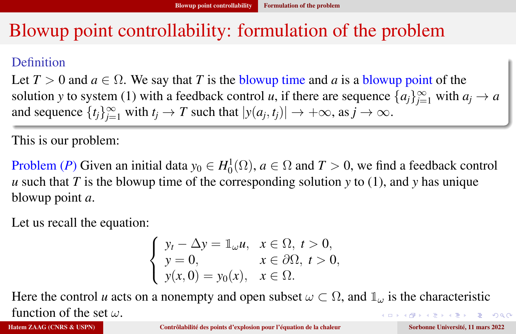## <span id="page-22-0"></span>Blowup point controllability: formulation of the problem

#### **Definition**

Let  $T > 0$  and  $a \in \Omega$ . We say that *T* is the blowup time and *a* is a blowup point of the solution *y* to system [\(1\)](#page-6-1) with a feedback control *u*, if there are sequence  $\{a_j\}_{j=1}^{\infty}$  with  $a_j \to a$ and sequence  $\{t_j\}_{j=1}^{\infty}$  with  $t_j \to T$  such that  $|y(a_j, t_j)| \to +\infty$ , as  $j \to \infty$ .

This is our problem:

Problem (*P*) Given an initial data  $y_0 \in H_0^1(\Omega)$ ,  $a \in \Omega$  and  $T > 0$ , we find a feedback control *u* such that *T* is the blowup time of the corresponding solution *y* to [\(1\)](#page-6-1), and *y* has unique blowup point *a*.

Let us recall the equation:

$$
\begin{cases}\ny_t - \Delta y = \mathbb{1}_{\omega} u, & x \in \Omega, \ t > 0, \\
y = 0, & x \in \partial\Omega, \ t > 0, \\
y(x, 0) = y_0(x), & x \in \Omega.\n\end{cases}
$$

Here the control *u* acts on a nonempty and open subset  $\omega \subset \Omega$ , and  $\mathbb{1}_{\omega}$  is the characteristic function of the set  $\omega$ .  $\equiv$   $\Omega$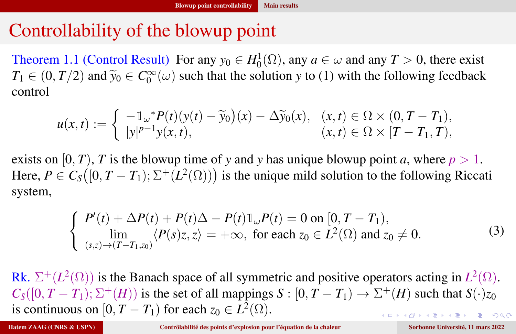# <span id="page-23-0"></span>Controllability of the blowup point

Theorem 1.1 (Control Result) For any  $y_0 \in H_0^1(\Omega)$ , any  $a \in \omega$  and any  $T > 0$ , there exist  $T_1 \in (0, T/2)$  and  $\tilde{y}_0 \in C_0^{\infty}(\omega)$  such that the solution *y* to [\(1\)](#page-6-1) with the following feedback control control

$$
u(x,t) := \begin{cases} -\mathbb{1}_{\omega} * P(t)(y(t) - \widetilde{y}_0)(x) - \Delta \widetilde{y}_0(x), & (x,t) \in \Omega \times (0, T - T_1), \\ |y|^{p-1} y(x,t), & (x,t) \in \Omega \times [T - T_1, T), \end{cases}
$$

exists on  $[0, T)$ , *T* is the blowup time of *y* and *y* has unique blowup point *a*, where  $p > 1$ . Here,  $P \in C_S([0, T - T_1); \Sigma^+(L^2(\Omega)))$  is the unique mild solution to the following Riccati system,

$$
\begin{cases}\nP'(t) + \Delta P(t) + P(t)\Delta - P(t)\mathbb{1}_{\omega}P(t) = 0 \text{ on } [0, T - T_1), \\
\lim_{(s,z)\to (T-T_1,z_0)} \langle P(s)z, z \rangle = +\infty, \text{ for each } z_0 \in L^2(\Omega) \text{ and } z_0 \neq 0.\n\end{cases}
$$
\n(3)

Rk.  $\Sigma^+(L^2(\Omega))$  is the Banach space of all symmetric and positive operators acting in  $L^2(\Omega)$ .  $C_S([0, T - T_1); \Sigma^+(H))$  is the set of all mappings  $S : [0, T - T_1) \to \Sigma^+(H)$  such that  $S(\cdot)_{Z_0}$ is continuous on  $[0, T - T_1)$  for each  $z_0 \in L^2(\Omega)$ .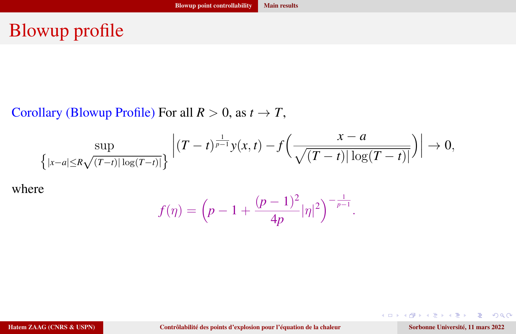# Blowup profile

Corollary (Blowup Profile) For all  $R > 0$ , as  $t \to T$ ,

$$
\sup_{\left\{\left|x-a\right|\leq R\sqrt{(T-t)\vert\log(T-t)\vert}\right\}}\left|\left(T-t\right)^{\frac{1}{p-1}}y(x,t)-f\left(\frac{x-a}{\sqrt{(T-t)\vert\log(T-t)\vert}}\right)\right|\rightarrow 0,
$$

where

$$
f(\eta) = \left(p - 1 + \frac{(p-1)^2}{4p} |\eta|^2\right)^{-\frac{1}{p-1}}.
$$

Hatem ZAAG (CNRS & USPN) [Contrôlabilité des points d'explosion pour l'équation de la chaleur](#page-0-0) Sorbonne Université, 11 mars 2022

 $299$ 

Ε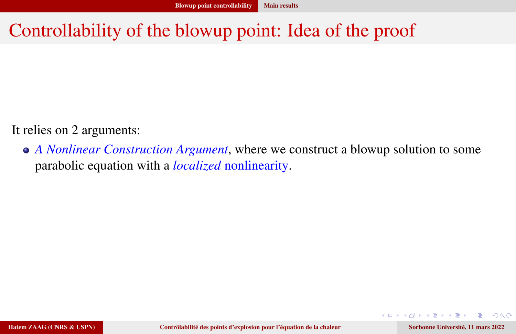# Controllability of the blowup point: Idea of the proof

It relies on 2 arguments:

*A Nonlinear Construction Argument*, where we construct a blowup solution to some parabolic equation with a *localized* nonlinearity.

 $200$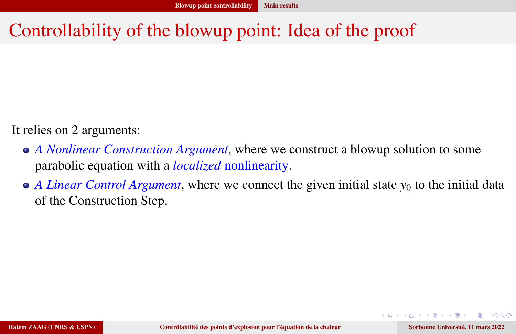# Controllability of the blowup point: Idea of the proof

It relies on 2 arguments:

- *A Nonlinear Construction Argument*, where we construct a blowup solution to some parabolic equation with a *localized* nonlinearity.
- *A Linear Control Argument*, where we connect the given initial state  $y_0$  to the initial data of the Construction Step.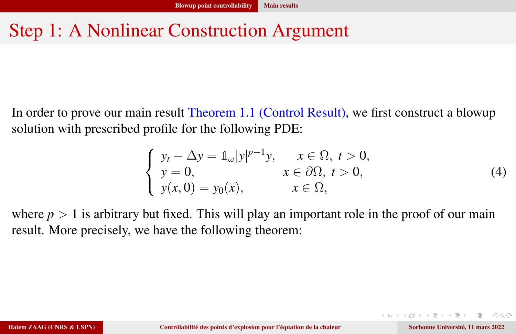# Step 1: A Nonlinear Construction Argument

In order to prove our main result Theorem 1.1 (Control Result), we first construct a blowup solution with prescribed profile for the following PDE:

<span id="page-27-0"></span>
$$
\begin{cases}\ny_t - \Delta y = \mathbb{1}_{\omega}|y|^{p-1}y, & x \in \Omega, \ t > 0, \\
y = 0, & x \in \partial\Omega, \ t > 0, \\
y(x, 0) = y_0(x), & x \in \Omega,\n\end{cases}
$$
\n(4)

where  $p > 1$  is arbitrary but fixed. This will play an important role in the proof of our main result. More precisely, we have the following theorem: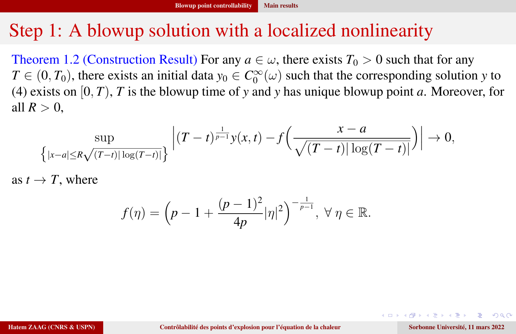#### Step 1: A blowup solution with a localized nonlinearity

Theorem 1.2 (Construction Result) For any  $a \in \omega$ , there exists  $T_0 > 0$  such that for any  $T \in (0, T_0)$ , there exists an initial data  $y_0 \in C_0^{\infty}(\omega)$  such that the corresponding solution *y* to [\(4\)](#page-27-0) exists on [0, *T*), *T* is the blowup time of *y* and *y* has unique blowup point *a*. Moreover, for all  $R > 0$ .

$$
\sup_{\{|x-a| \le R\sqrt{(T-t)|\log(T-t)|}\}} \left| (T-t)^{\frac{1}{p-1}} y(x,t) - f\left(\frac{x-a}{\sqrt{(T-t)|\log(T-t)|}}\right) \right| \to 0,
$$

as  $t \to T$ , where

$$
f(\eta) = \left(p - 1 + \frac{(p-1)^2}{4p} |\eta|^2\right)^{-\frac{1}{p-1}}, \ \forall \ \eta \in \mathbb{R}.
$$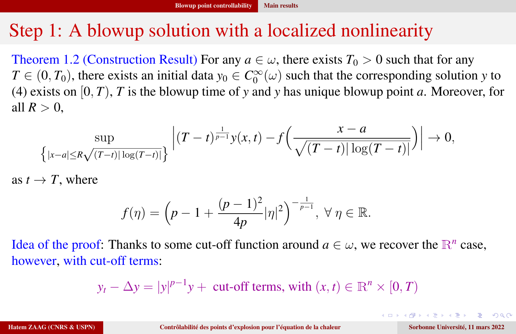### Step 1: A blowup solution with a localized nonlinearity

Theorem 1.2 (Construction Result) For any  $a \in \omega$ , there exists  $T_0 > 0$  such that for any  $T \in (0, T_0)$ , there exists an initial data  $y_0 \in C_0^{\infty}(\omega)$  such that the corresponding solution *y* to [\(4\)](#page-27-0) exists on [0, *T*), *T* is the blowup time of *y* and *y* has unique blowup point *a*. Moreover, for all  $R > 0$ .

$$
\sup_{\{|x-a| \le R\sqrt{(T-t)|\log(T-t)|}\}} \left| (T-t)^{\frac{1}{p-1}} y(x,t) - f\left(\frac{x-a}{\sqrt{(T-t)|\log(T-t)|}}\right) \right| \to 0,
$$

as  $t \to T$ , where

$$
f(\eta)=\Big(p-1+\frac{(p-1)^2}{4p}|\eta|^2\Big)^{-\frac{1}{p-1}},\ \forall\ \eta\in\mathbb{R}.
$$

Idea of the proof: Thanks to some cut-off function around  $a \in \omega$ , we recover the  $\mathbb{R}^n$  case, however, with cut-off terms:

$$
y_t - \Delta y = |y|^{p-1}y + \text{cut-off terms, with } (x, t) \in \mathbb{R}^n \times [0, T)
$$

 $\rightarrow 4 \equiv 12 \equiv 12.0 \times 10^{-4}$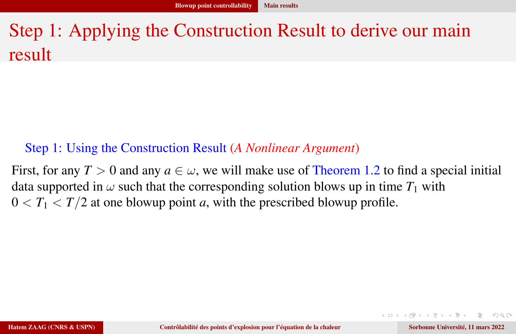# Step 1: Applying the Construction Result to derive our main result

#### Step 1: Using the Construction Result (*A Nonlinear Argument*)

First, for any  $T > 0$  and any  $a \in \omega$ , we will make use of Theorem 1.2 to find a special initial data supported in  $\omega$  such that the corresponding solution blows up in time  $T_1$  with  $0 < T_1 < T/2$  at one blowup point *a*, with the prescribed blowup profile.

 $\equiv$   $\Omega$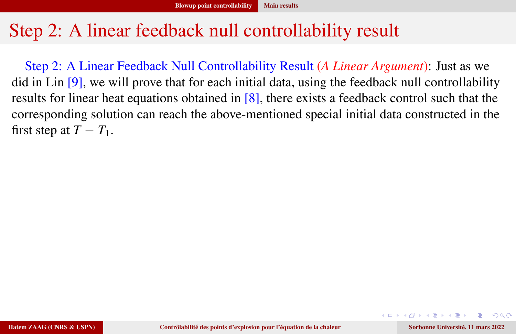## Step 2: A linear feedback null controllability result

Step 2: A Linear Feedback Null Controllability Result (*A Linear Argument*): Just as we did in Lin [9], we will prove that for each initial data, using the feedback null controllability results for linear heat equations obtained in [8], there exists a feedback control such that the corresponding solution can reach the above-mentioned special initial data constructed in the first step at  $T - T_1$ .

 $\equiv$   $\Omega$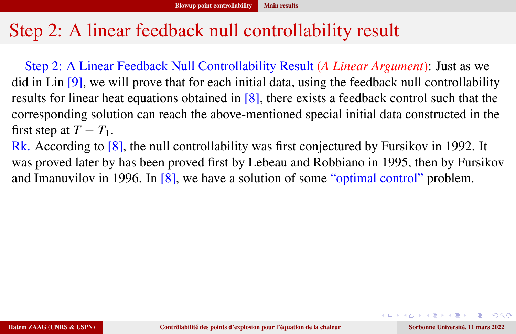## Step 2: A linear feedback null controllability result

Step 2: A Linear Feedback Null Controllability Result (*A Linear Argument*): Just as we did in Lin [9], we will prove that for each initial data, using the feedback null controllability results for linear heat equations obtained in [8], there exists a feedback control such that the corresponding solution can reach the above-mentioned special initial data constructed in the first step at  $T - T_1$ .

Rk. According to [8], the null controllability was first conjectured by Fursikov in 1992. It was proved later by has been proved first by Lebeau and Robbiano in 1995, then by Fursikov and Imanuvilov in 1996. In [8], we have a solution of some "optimal control" problem.

**EXTERN EL PORCH**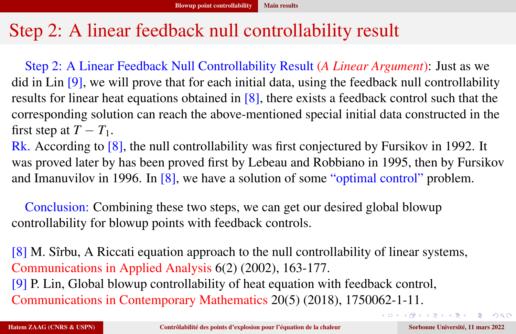## Step 2: A linear feedback null controllability result

Step 2: A Linear Feedback Null Controllability Result (*A Linear Argument*): Just as we did in Lin [9], we will prove that for each initial data, using the feedback null controllability results for linear heat equations obtained in [8], there exists a feedback control such that the corresponding solution can reach the above-mentioned special initial data constructed in the first step at  $T - T_1$ .

Rk. According to [8], the null controllability was first conjectured by Fursikov in 1992. It was proved later by has been proved first by Lebeau and Robbiano in 1995, then by Fursikov and Imanuvilov in 1996. In [8], we have a solution of some "optimal control" problem.

Conclusion: Combining these two steps, we can get our desired global blowup controllability for blowup points with feedback controls.

[8] M. Sîrbu, A Riccati equation approach to the null controllability of linear systems, Communications in Applied Analysis 6(2) (2002), 163-177. [9] P. Lin, Global blowup controllability of heat equation with feedback control, Communications in Contemporary Mathematics 20(5) (2018), 1750062-1-11.

KID KAP KIB KIB KIB KORA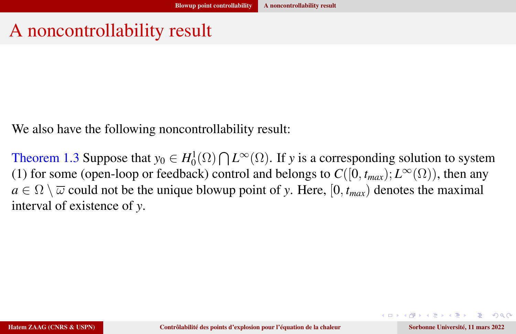## <span id="page-34-0"></span>A noncontrollability result

We also have the following noncontrollability result:

Theorem 1.3 Suppose that  $y_0 \in H_0^1(\Omega) \cap L^\infty(\Omega)$ . If *y* is a corresponding solution to system [\(1\)](#page-6-1) for some (open-loop or feedback) control and belongs to  $C([0, t_{max}); L^{\infty}(\Omega))$ , then any  $a \in \Omega \setminus \overline{\omega}$  could not be the unique blowup point of *y*. Here, [0,  $t_{max}$ ] denotes the maximal interval of existence of *y*.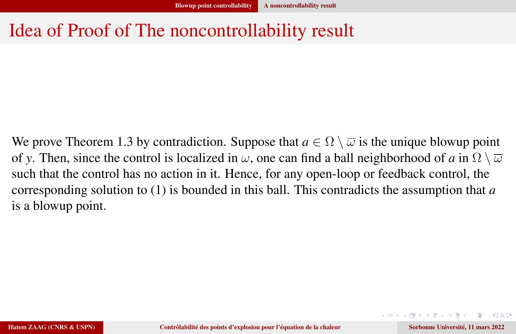## Idea of Proof of The noncontrollability result

We prove Theorem 1.3 by contradiction. Suppose that  $a \in \Omega \setminus \overline{\omega}$  is the unique blowup point of *y*. Then, since the control is localized in  $\omega$ , one can find a ball neighborhood of *a* in  $\Omega \setminus \overline{\omega}$ such that the control has no action in it. Hence, for any open-loop or feedback control, the corresponding solution to [\(1\)](#page-6-1) is bounded in this ball. This contradicts the assumption that *a* is a blowup point.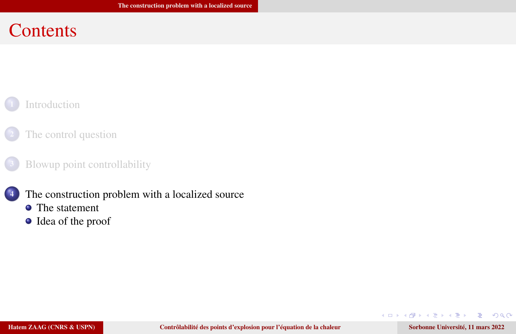#### <span id="page-36-0"></span>**Contents**

#### **[Introduction](#page-1-0)**

#### [The control question](#page-5-0)

#### [Blowup point controllability](#page-21-0)



- **•** [The statement](#page-37-0)
- [Idea of the proof](#page-39-0)

 $\mathbf{A} \cdot \mathbf{B} \rightarrow \mathbf{A} \cdot \mathbf{B} \rightarrow \mathbf{A} \cdot \mathbf{B}$ 

4 0 8

 $QQ$ 

∍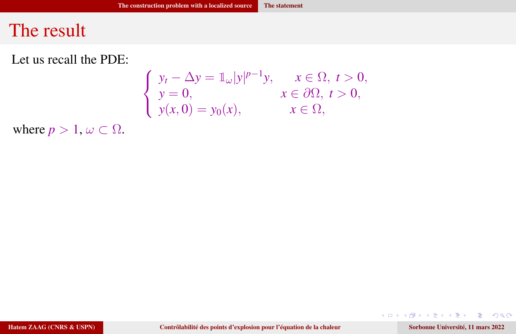#### <span id="page-37-0"></span>The result

Let us recall the PDE:

$$
\begin{cases}\ny_t - \Delta y = \mathbb{1}_{\omega}|y|^{p-1}y, & x \in \Omega, \ t > 0, \\
y = 0, & x \in \partial\Omega, \ t > 0, \\
y(x, 0) = y_0(x), & x \in \Omega,\n\end{cases}
$$

where  $p > 1$ ,  $\omega \subset \Omega$ .

Hatem ZAAG (CNRS & USPN) [Contrôlabilité des points d'explosion pour l'équation de la chaleur](#page-0-0) Sorbonne Université, 11 mars 2022

 $2990$ 

店

メロトメ 御 トメ ヨ トメ ヨト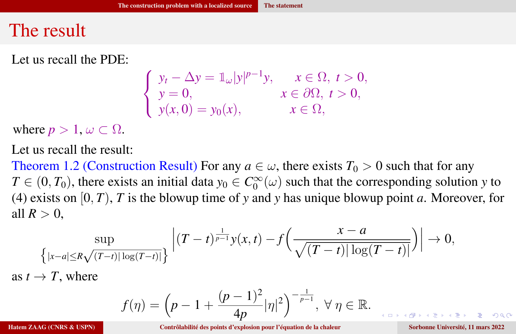#### The result

Let us recall the PDE:

$$
\begin{cases}\ny_t - \Delta y = \mathbb{1}_{\omega}|y|^{p-1}y, & x \in \Omega, \ t > 0, \\
y = 0, & x \in \partial\Omega, \ t > 0, \\
y(x, 0) = y_0(x), & x \in \Omega,\n\end{cases}
$$

where  $p > 1$ ,  $\omega \subset \Omega$ .

Let us recall the result:

Theorem 1.2 (Construction Result) For any  $a \in \omega$ , there exists  $T_0 > 0$  such that for any  $T \in (0, T_0)$ , there exists an initial data  $y_0 \in C_0^{\infty}(\omega)$  such that the corresponding solution *y* to [\(4\)](#page-27-0) exists on [0, *T*), *T* is the blowup time of *y* and *y* has unique blowup point *a*. Moreover, for all  $R > 0$ ,

$$
\sup_{\{|x-a| \le R\sqrt{(T-t)|\log(T-t)|}\}} \left| (T-t)^{\frac{1}{p-1}} y(x,t) - f\left(\frac{x-a}{\sqrt{(T-t)|\log(T-t)|}}\right) \right| \to 0,
$$

as  $t \to T$ , where

$$
f(\eta) = \left(p - 1 + \frac{(p-1)^2}{4p} |\eta|^2\right)^{-\frac{1}{p-1}}, \ \forall \ \eta \in \mathbb{R}.
$$

Hatem ZAAG (CNRS & USPN) [Contrôlabilité des points d'explosion pour l'équation de la chaleur](#page-0-0) Sorbonne Université, 11 mars 2022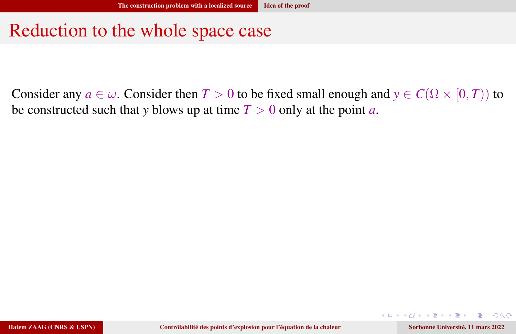#### <span id="page-39-0"></span>Reduction to the whole space case

Consider any  $a \in \omega$ . Consider then  $T > 0$  to be fixed small enough and  $y \in C(\Omega \times [0, T))$  to be constructed such that *y* blows up at time  $T > 0$  only at the point *a*.

 $QQ$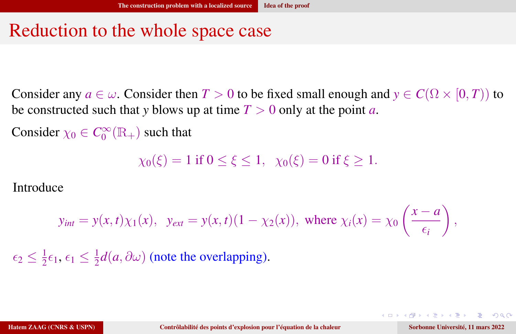#### Reduction to the whole space case

Consider any  $a \in \omega$ . Consider then  $T > 0$  to be fixed small enough and  $y \in C(\Omega \times [0, T))$  to be constructed such that *y* blows up at time  $T > 0$  only at the point *a*.

Consider  $\chi_0 \in C_0^{\infty}(\mathbb{R}_+)$  such that

 $\chi_0(\xi) = 1$  if  $0 \le \xi \le 1$ ,  $\chi_0(\xi) = 0$  if  $\xi > 1$ .

Introduce

$$
y_{int} = y(x, t)\chi_1(x), \quad y_{ext} = y(x, t)(1 - \chi_2(x)), \text{ where } \chi_i(x) = \chi_0\left(\frac{x - a}{\epsilon_i}\right),
$$

 $\epsilon_2 \leq \frac{1}{2}$  $\frac{1}{2}\epsilon_1, \epsilon_1 \leq \frac{1}{2}$  $\frac{1}{2}d(a, \partial \omega)$  (note the overlapping).

 $\eta$ a

**NATION** TO A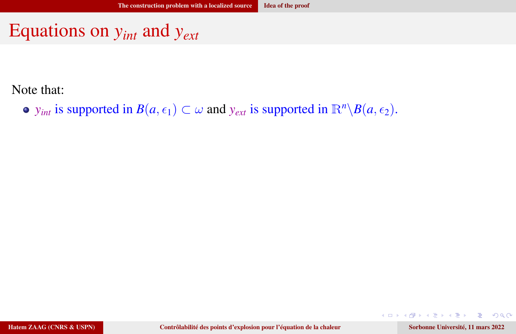## Equations on *yint* and *yext*

Note that:

• *y*<sub>*int</sub>* is supported in *B*( $a$ ,  $\epsilon_1$ ) ⊂  $\omega$  and *y*<sub>*ext*</sub> is supported in  $\mathbb{R}^n \setminus B(a, \epsilon_2)$ .</sub>

Hatem ZAAG (CNRS & USPN) [Contrôlabilité des points d'explosion pour l'équation de la chaleur](#page-0-0) Sorbonne Université, 11 mars 2022

 $\mathbf{v}$  and  $\mathbf{v}$ 

 $\Omega$ 

4 0 8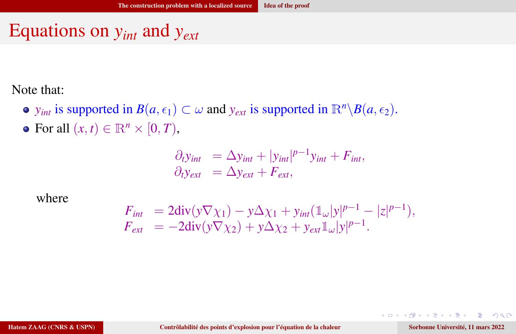## Equations on *yint* and *yext*

Note that:

- *y*<sub>*int</sub>* is supported in *B*(*a*,  $\epsilon_1$ ) ⊂ ω and *y*<sub>*ext*</sub> is supported in  $\mathbb{R}^n \setminus B(a, \epsilon_2)$ .</sub>
- $\bullet$  For all  $(x, t) \in \mathbb{R}^n \times [0, T)$ ,

$$
\begin{aligned}\n\partial_t y_{int} &= \Delta y_{int} + |y_{int}|^{p-1} y_{int} + F_{int}, \\
\partial_t y_{ext} &= \Delta y_{ext} + F_{ext},\n\end{aligned}
$$

where

$$
F_{int} = 2\text{div}(y\nabla \chi_1) - y\Delta \chi_1 + y_{int}(\mathbb{1}_{\omega}|y|^{p-1} - |z|^{p-1}),
$$
  
\n
$$
F_{ext} = -2\text{div}(y\nabla \chi_2) + y\Delta \chi_2 + y_{ext}\mathbb{1}_{\omega}|y|^{p-1}.
$$

 $\mathbf{v}$  and  $\mathbf{v}$ 

 $\Omega$ 

4 0 8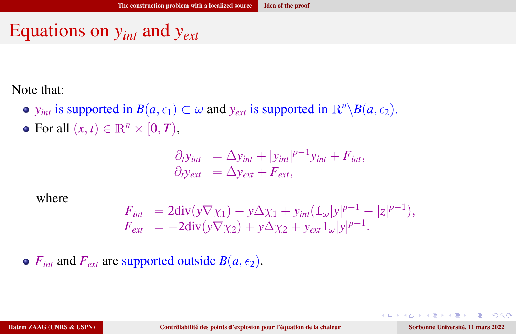# Equations on *yint* and *yext*

Note that:

- $y_{int}$  is supported in  $B(a, \epsilon_1) \subset \omega$  and  $y_{ext}$  is supported in  $\mathbb{R}^n \setminus B(a, \epsilon_2)$ .
- $\bullet$  For all  $(x, t) \in \mathbb{R}^n \times [0, T)$ ,

$$
\begin{aligned}\n\partial_t y_{int} &= \Delta y_{int} + |y_{int}|^{p-1} y_{int} + F_{int}, \\
\partial_t y_{ext} &= \Delta y_{ext} + F_{ext},\n\end{aligned}
$$

where

$$
F_{int} = 2\text{div}(y\nabla \chi_1) - y\Delta \chi_1 + y_{int}(\mathbb{1}_{\omega}|y|^{p-1} - |z|^{p-1}),
$$
  
\n
$$
F_{ext} = -2\text{div}(y\nabla \chi_2) + y\Delta \chi_2 + y_{ext}\mathbb{1}_{\omega}|y|^{p-1}.
$$

•  $F_{int}$  and  $F_{ext}$  are supported outside  $B(a, \epsilon_2)$ .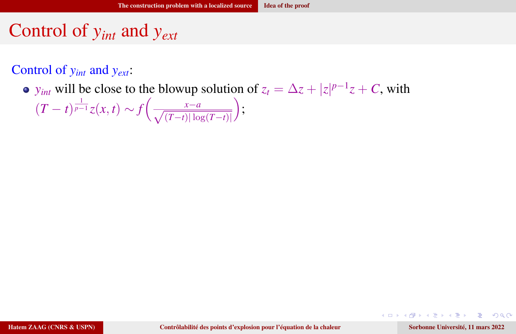#### Control of *yint* and *yext*:

*y*<sub>int</sub> will be close to the blowup solution of  $z_t = \Delta z + |z|^{p-1}z + C$ , with

$$
(T-t)^{\frac{1}{p-1}}z(x,t) \sim f\left(\frac{x-a}{\sqrt{(T-t)|\log(T-t)|}}\right);
$$

 $\Omega$ 

∍

▶ 4回 ▶ 4回

 $\leftarrow$   $\Box$   $\rightarrow$   $\leftarrow$   $\Box$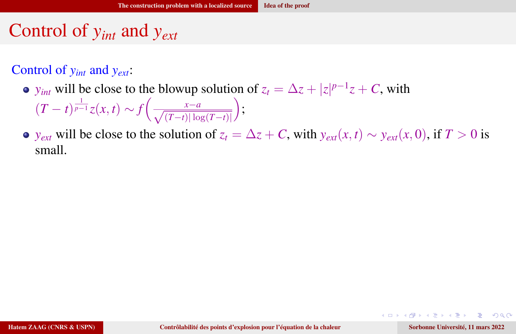#### Control of *yint* and *yext*:

*y*<sub>int</sub> will be close to the blowup solution of  $z_t = \Delta z + |z|^{p-1}z + C$ , with  $(T-t)^{\frac{1}{p-1}}z(x,t) \sim f\left(\frac{x-a}{\sqrt{(T-t)|\log(T-t)|}}\right)$  $\bigg),$ 

• *y<sub>ext</sub>* will be close to the solution of 
$$
z_t = \Delta z + C
$$
, with  $y_{ext}(x, t) \sim y_{ext}(x, 0)$ , if  $T > 0$  is small.

 $200$ 

4 0 8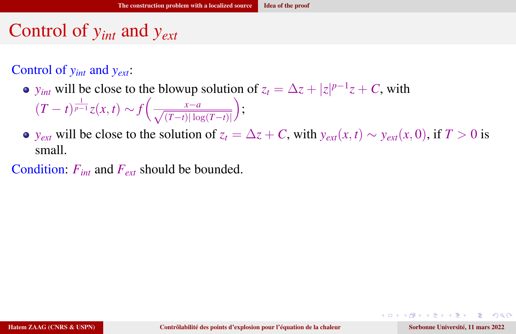#### Control of *yint* and *yext*:

- *y*<sub>int</sub> will be close to the blowup solution of  $z_t = \Delta z + |z|^{p-1}z + C$ , with  $(T-t)^{\frac{1}{p-1}}z(x,t) \sim f\left(\frac{x-a}{\sqrt{(T-t)|\log(T-t)|}}\right)$  $\bigg),$
- *y<sub>ext</sub>* will be close to the solution of  $z_t = \Delta z + C$ , with  $y_{ext}(x, t) \sim y_{ext}(x, 0)$ , if  $T > 0$  is small.

Condition: *Fint* and *Fext* should be bounded.

 $200$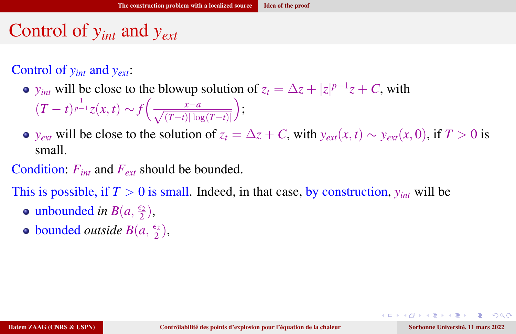#### Control of *yint* and *yext*:

- *y*<sub>int</sub> will be close to the blowup solution of  $z_t = \Delta z + |z|^{p-1}z + C$ , with  $(T-t)^{\frac{1}{p-1}}z(x,t) \sim f\left(\frac{x-a}{\sqrt{(T-t)|\log(T-t)|}}\right)$  $\bigg),$
- *y<sub>ext</sub>* will be close to the solution of  $z_t = \Delta z + C$ , with  $y_{ext}(x, t) \sim y_{ext}(x, 0)$ , if  $T > 0$  is small.

Condition: *Fint* and *Fext* should be bounded.

This is possible, if  $T > 0$  is small. Indeed, in that case, by construction,  $y_{int}$  will be

- unbounded *in*  $B(a, \frac{\epsilon_2}{2})$  $\frac{\epsilon_2}{2}$ ),
- bounded *outside*  $B(a, \frac{\epsilon_2}{2})$  $\frac{\epsilon_2}{2}$ ),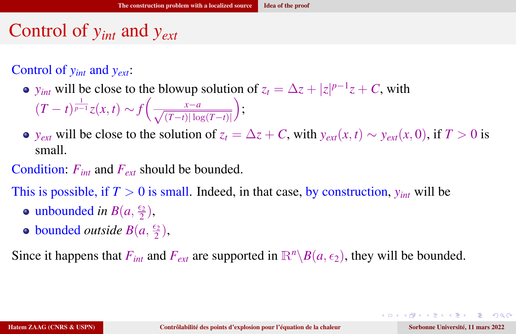#### Control of *yint* and *yext*:

- *y*<sub>int</sub> will be close to the blowup solution of  $z_t = \Delta z + |z|^{p-1}z + C$ , with  $(T-t)^{\frac{1}{p-1}}z(x,t) \sim f\left(\frac{x-a}{\sqrt{(T-t)|\log(T-t)|}}\right)$  $\bigg),$
- *y<sub>ext</sub>* will be close to the solution of  $z_t = \Delta z + C$ , with  $y_{ext}(x, t) \sim y_{ext}(x, 0)$ , if  $T > 0$  is small.

Condition: *Fint* and *Fext* should be bounded.

This is possible, if  $T > 0$  is small. Indeed, in that case, by construction,  $y_{int}$  will be

- unbounded *in*  $B(a, \frac{\epsilon_2}{2})$  $\frac{\epsilon_2}{2}$ ),
- bounded *outside*  $B(a, \frac{\epsilon_2}{2})$  $\frac{\epsilon_2}{2}$ ),

Since it happens that  $F_{int}$  and  $F_{ext}$  are supported in  $\mathbb{R}^n\backslash B(a,\epsilon_2)$ , they will be bounded.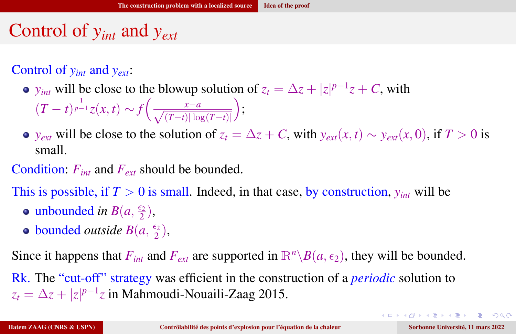#### Control of *yint* and *yext*:

- *y*<sub>int</sub> will be close to the blowup solution of  $z_t = \Delta z + |z|^{p-1}z + C$ , with  $(T-t)^{\frac{1}{p-1}}z(x,t) \sim f\left(\frac{x-a}{\sqrt{(T-t)|\log(T-t)|}}\right)$  $\bigg),$
- *y<sub>ext</sub>* will be close to the solution of  $z_t = \Delta z + C$ , with  $y_{ext}(x, t) \sim y_{ext}(x, 0)$ , if  $T > 0$  is small.

Condition: *Fint* and *Fext* should be bounded.

This is possible, if  $T > 0$  is small. Indeed, in that case, by construction,  $y_{int}$  will be

- unbounded *in*  $B(a, \frac{\epsilon_2}{2})$  $\frac{\epsilon_2}{2}$ ),
- bounded *outside*  $B(a, \frac{\epsilon_2}{2})$  $\frac{\epsilon_2}{2}$ ),

Since it happens that  $F_{int}$  and  $F_{ext}$  are supported in  $\mathbb{R}^n\backslash B(a,\epsilon_2)$ , they will be bounded.

Rk. The "cut-off" strategy was efficient in the construction of a *periodic* solution to  $z_t = \Delta z + |z|^{p-1}z$  in Mahmoudi-Nouaili-Zaag 2015.

GB 1  $\eta$ a

イロト イ何 トイヨ トイヨ トー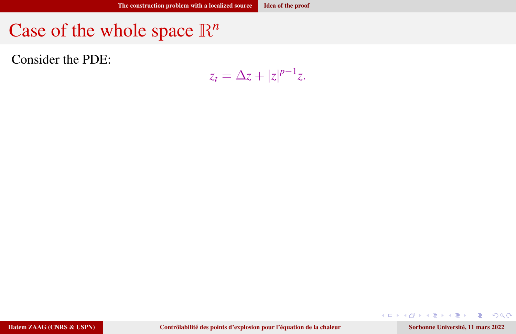Consider the PDE:

$$
z_t = \Delta z + |z|^{p-1}z.
$$

Hatem ZAAG (CNRS & USPN) [Contrôlabilité des points d'explosion pour l'équation de la chaleur](#page-0-0) Sorbonne Université, 11 mars 2022

 $A \Box B$   $A \Box B$   $A \Box B$   $A \Box B$   $A \Box B$   $A$ 

 $299$ 

Ε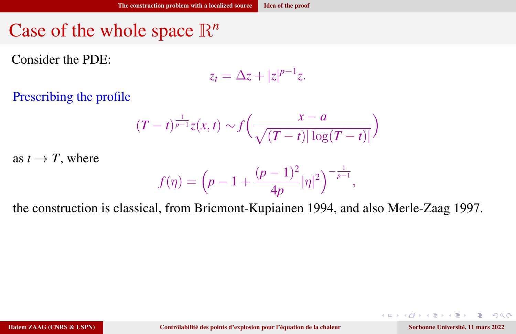Consider the PDE:

$$
z_t = \Delta z + |z|^{p-1}z.
$$

Prescribing the profile

$$
(T-t)^{\frac{1}{p-1}}z(x,t) \sim f\left(\frac{x-a}{\sqrt{(T-t)|\log(T-t)|}}\right)
$$

as  $t \to T$ , where

$$
f(\eta) = \left(p - 1 + \frac{(p-1)^2}{4p} |\eta|^2\right)^{-\frac{1}{p-1}},
$$

the construction is classical, from Bricmont-Kupiainen 1994, and also Merle-Zaag 1997.

 $\Omega$ 

э

化重新润滑脂

4 D F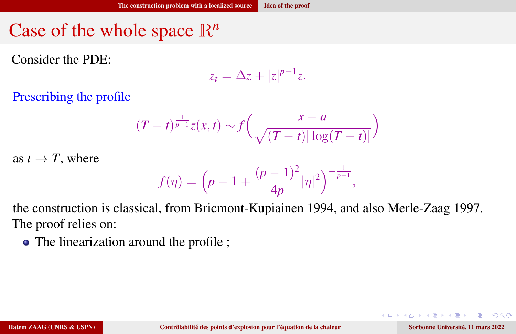Consider the PDE:

$$
z_t = \Delta z + |z|^{p-1}z.
$$

Prescribing the profile

$$
(T-t)^{\frac{1}{p-1}}z(x,t) \sim f\left(\frac{x-a}{\sqrt{(T-t)|\log(T-t)|}}\right)
$$

as  $t \to T$ , where

$$
f(\eta) = \left(p - 1 + \frac{(p-1)^2}{4p} |\eta|^2\right)^{-\frac{1}{p-1}},
$$

the construction is classical, from Bricmont-Kupiainen 1994, and also Merle-Zaag 1997. The proof relies on:

• The linearization around the profile ;

 $\Omega$ 

∍

化重氮化重氮

4 D F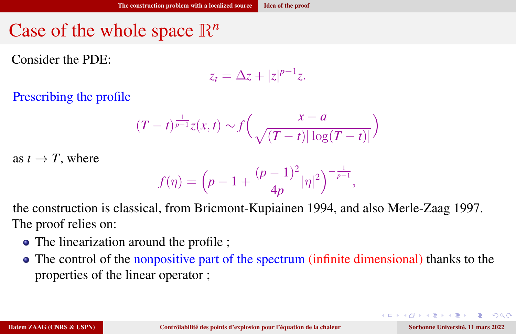Consider the PDE:

$$
z_t = \Delta z + |z|^{p-1}z.
$$

Prescribing the profile

$$
(T-t)^{\frac{1}{p-1}}z(x,t) \sim f\left(\frac{x-a}{\sqrt{(T-t)|\log(T-t)|}}\right)
$$

as  $t \to T$ , where

$$
f(\eta) = \left(p - 1 + \frac{(p-1)^2}{4p} |\eta|^2\right)^{-\frac{1}{p-1}},
$$

the construction is classical, from Bricmont-Kupiainen 1994, and also Merle-Zaag 1997. The proof relies on:

- The linearization around the profile ;
- The control of the nonpositive part of the spectrum (infinite dimensional) thanks to the properties of the linear operator ;

 $\equiv$   $\Omega$ 

イロト イ何 トイヨ トイヨ トー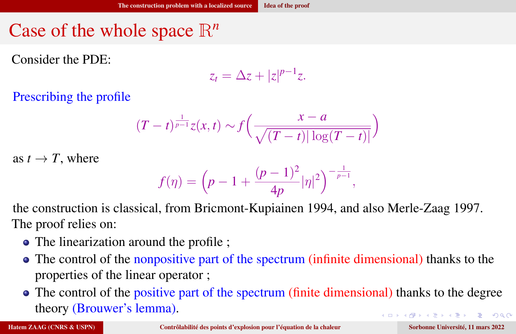Consider the PDE:

$$
z_t = \Delta z + |z|^{p-1}z.
$$

Prescribing the profile

$$
(T-t)^{\frac{1}{p-1}}z(x,t) \sim f\left(\frac{x-a}{\sqrt{(T-t)|\log(T-t)|}}\right)
$$

as  $t \to T$ , where

$$
f(\eta)=\Big(p-1+\frac{(p-1)^2}{4p}|\eta|^2\Big)^{-\frac{1}{p-1}},
$$

the construction is classical, from Bricmont-Kupiainen 1994, and also Merle-Zaag 1997. The proof relies on:

- The linearization around the profile ;
- The control of the nonpositive part of the spectrum (infinite dimensional) thanks to the properties of the linear operator ;
- The control of the positive part of the spectrum (finite dimensional) thanks to the degree theory (Brouwer's lemma). KO KARA KE KAEK E KAQO